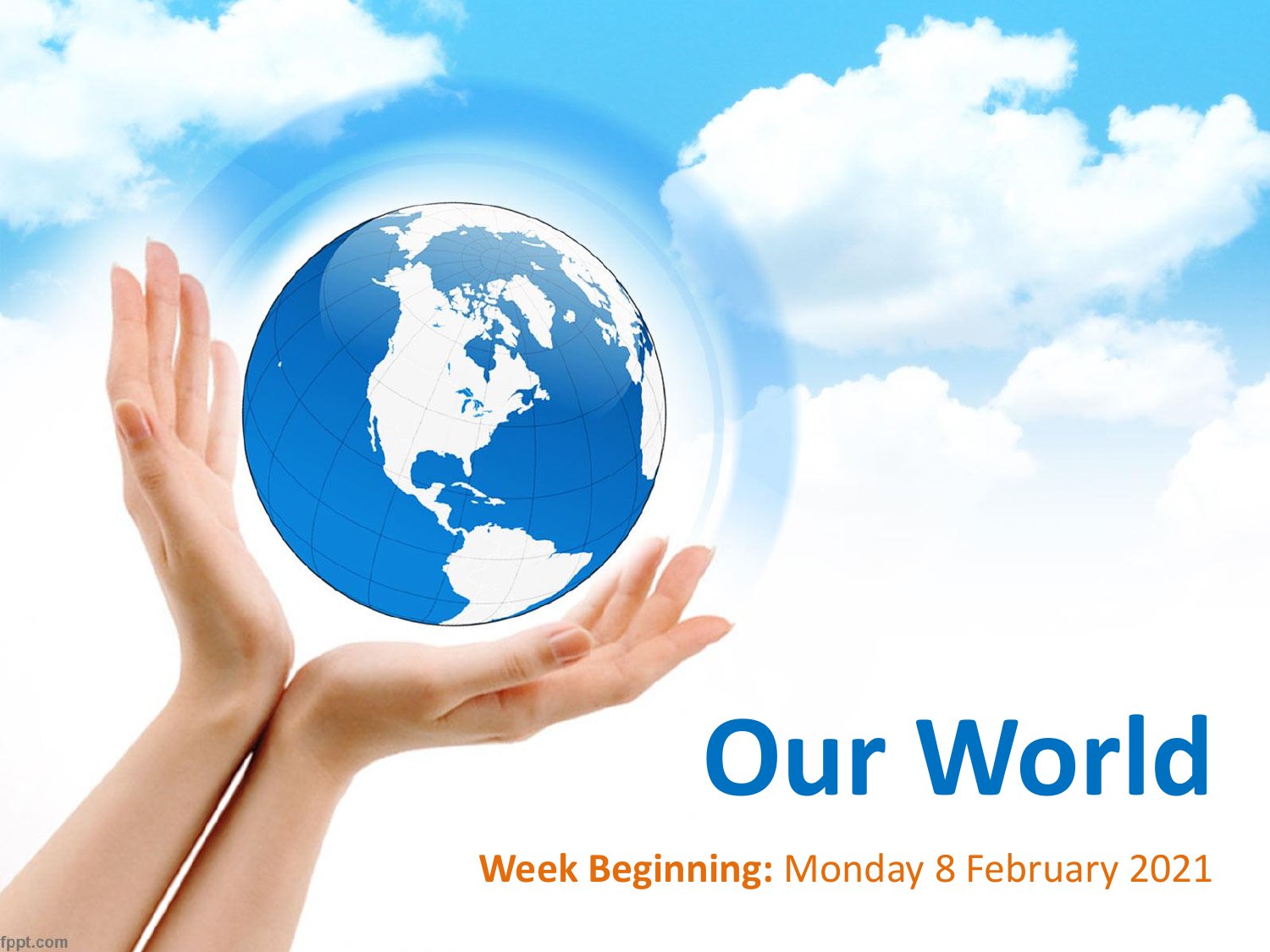# **Our World**

**Week Beginning:** Monday 8 February 2021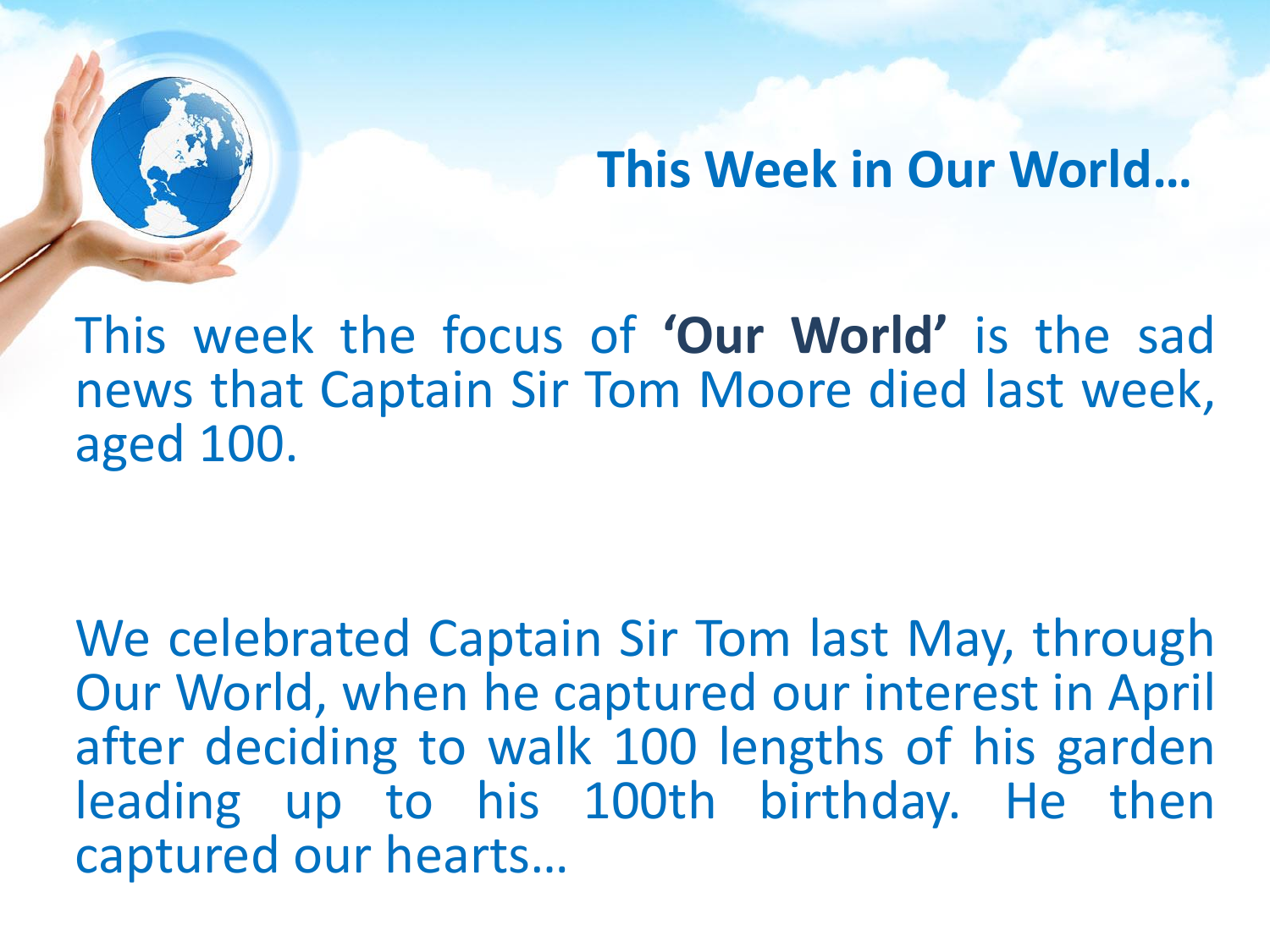## **This Week in Our World…**

This week the focus of **'Our World'** is the sad news that Captain Sir Tom Moore died last week, aged 100.

We celebrated Captain Sir Tom last May, through Our World, when he captured our interest in April after deciding to walk 100 lengths of his garden leading up to his 100th birthday. He then captured our hearts…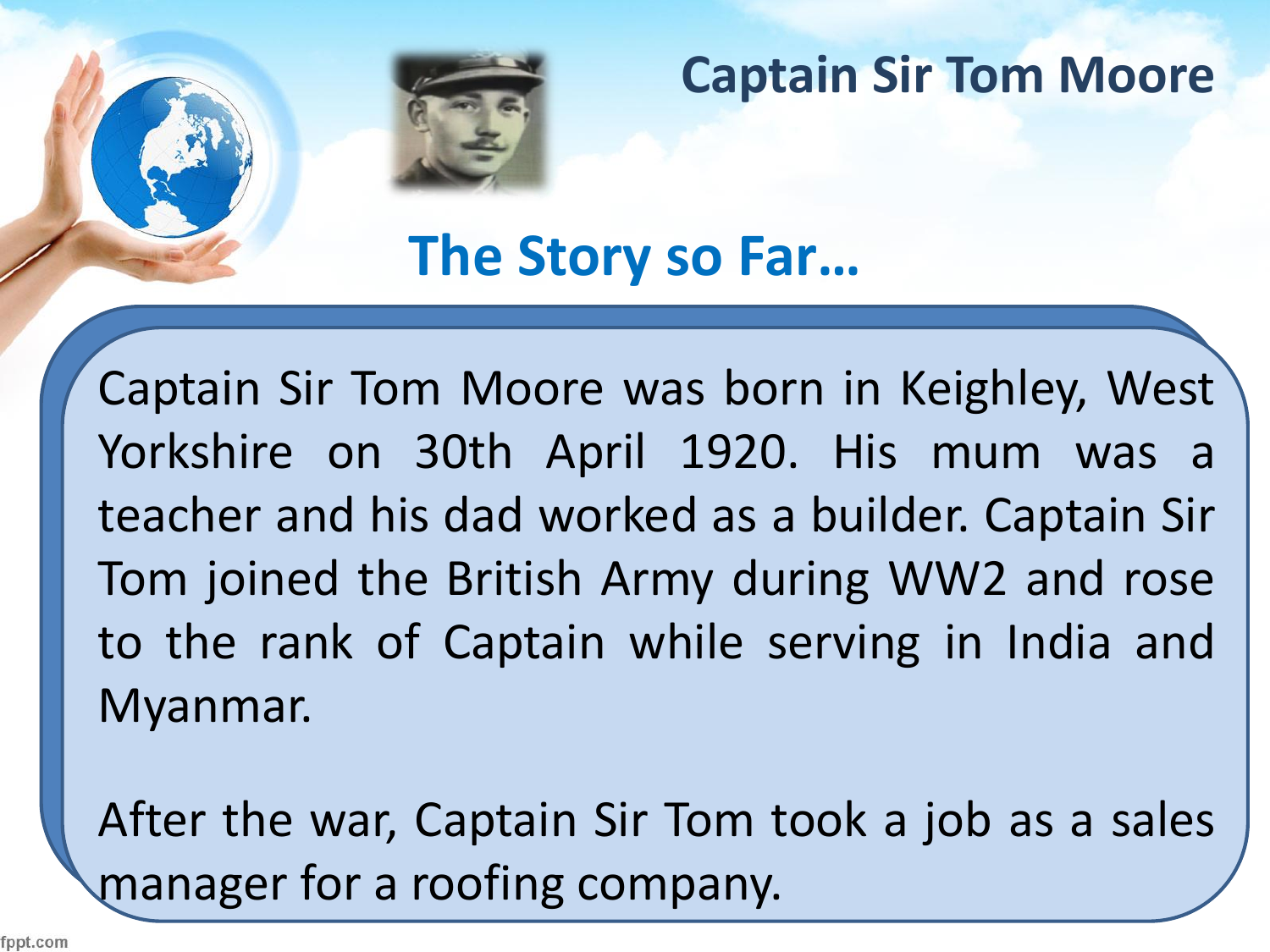

**The Story so Far…**

Captain Sir Tom Moore was born in Keighley, West Yorkshire on 30th April 1920. His mum was a teacher and his dad worked as a builder. Captain Sir Tom joined the British Army during WW2 and rose to the rank of Captain while serving in India and Myanmar.

After the war, Captain Sir Tom took a job as a sales manager for a roofing company.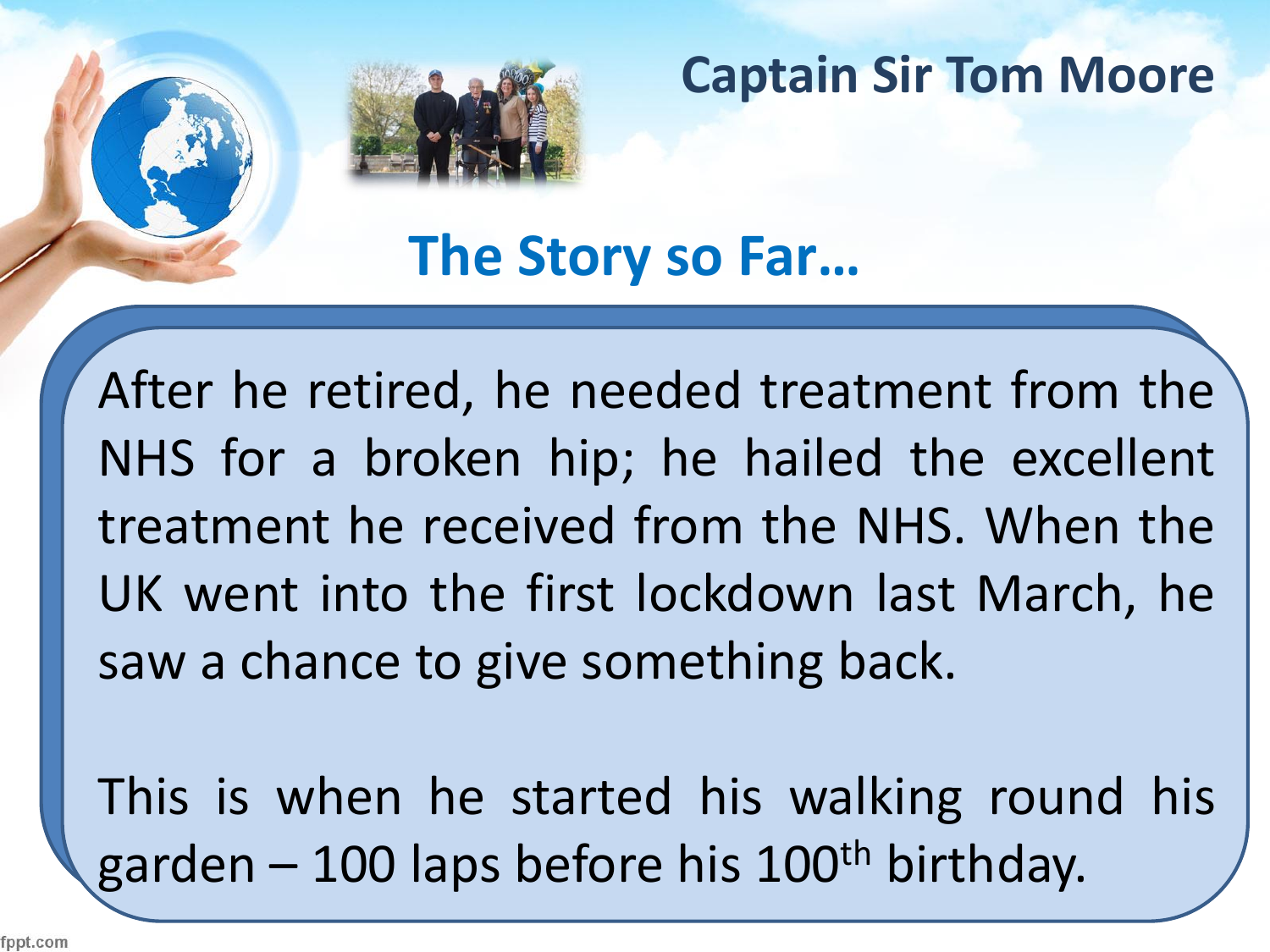

**The Story so Far…**

After he retired, he needed treatment from the NHS for a broken hip; he hailed the excellent treatment he received from the NHS. When the UK went into the first lockdown last March, he saw a chance to give something back.

This is when he started his walking round his garden – 100 laps before his  $100<sup>th</sup>$  birthday.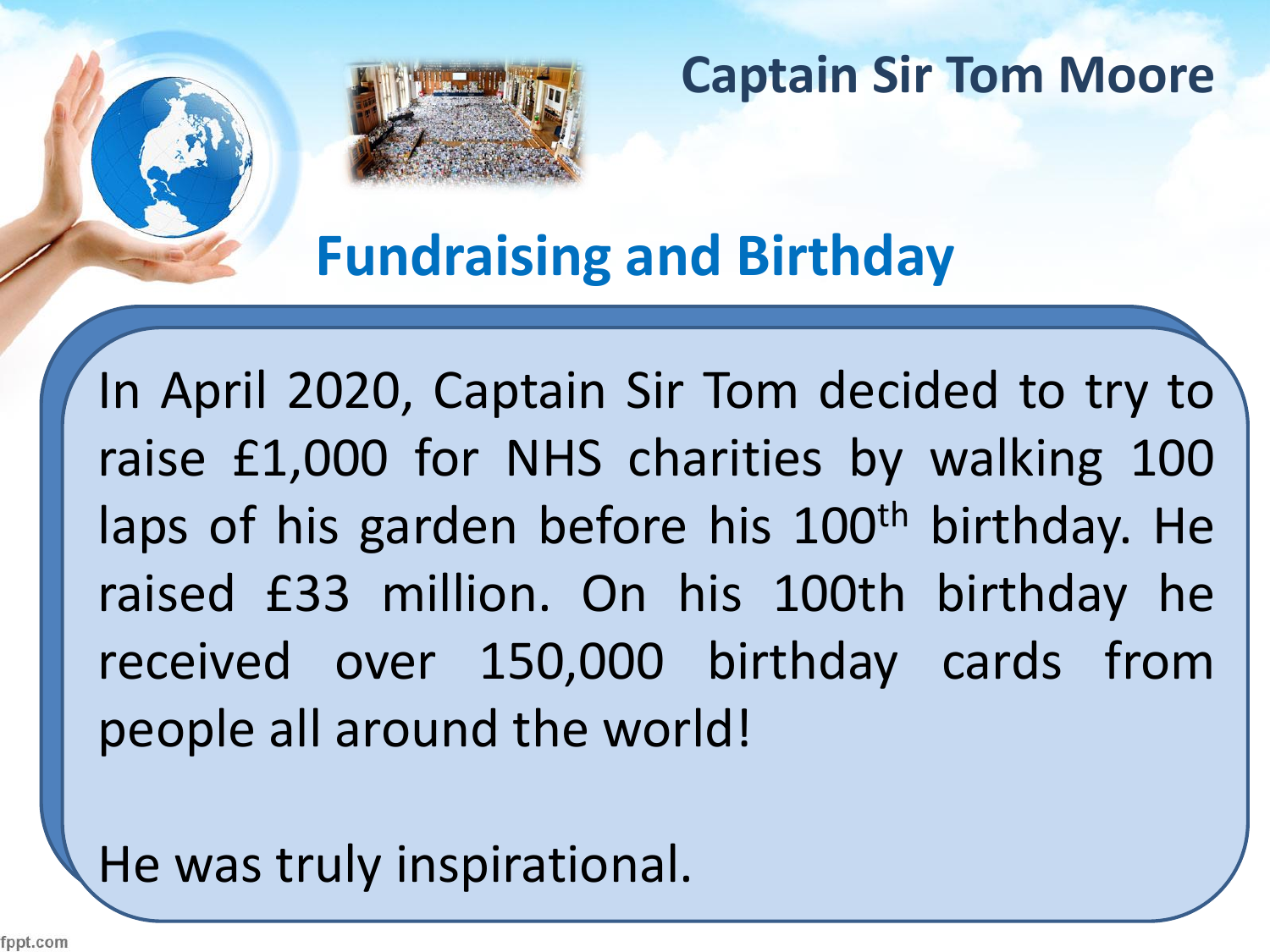**Fundraising and Birthday**

In April 2020, Captain Sir Tom decided to try to raise £1,000 for NHS charities by walking 100 laps of his garden before his 100<sup>th</sup> birthday. He raised £33 million. On his 100th birthday he received over 150,000 birthday cards from people all around the world!

He was truly inspirational.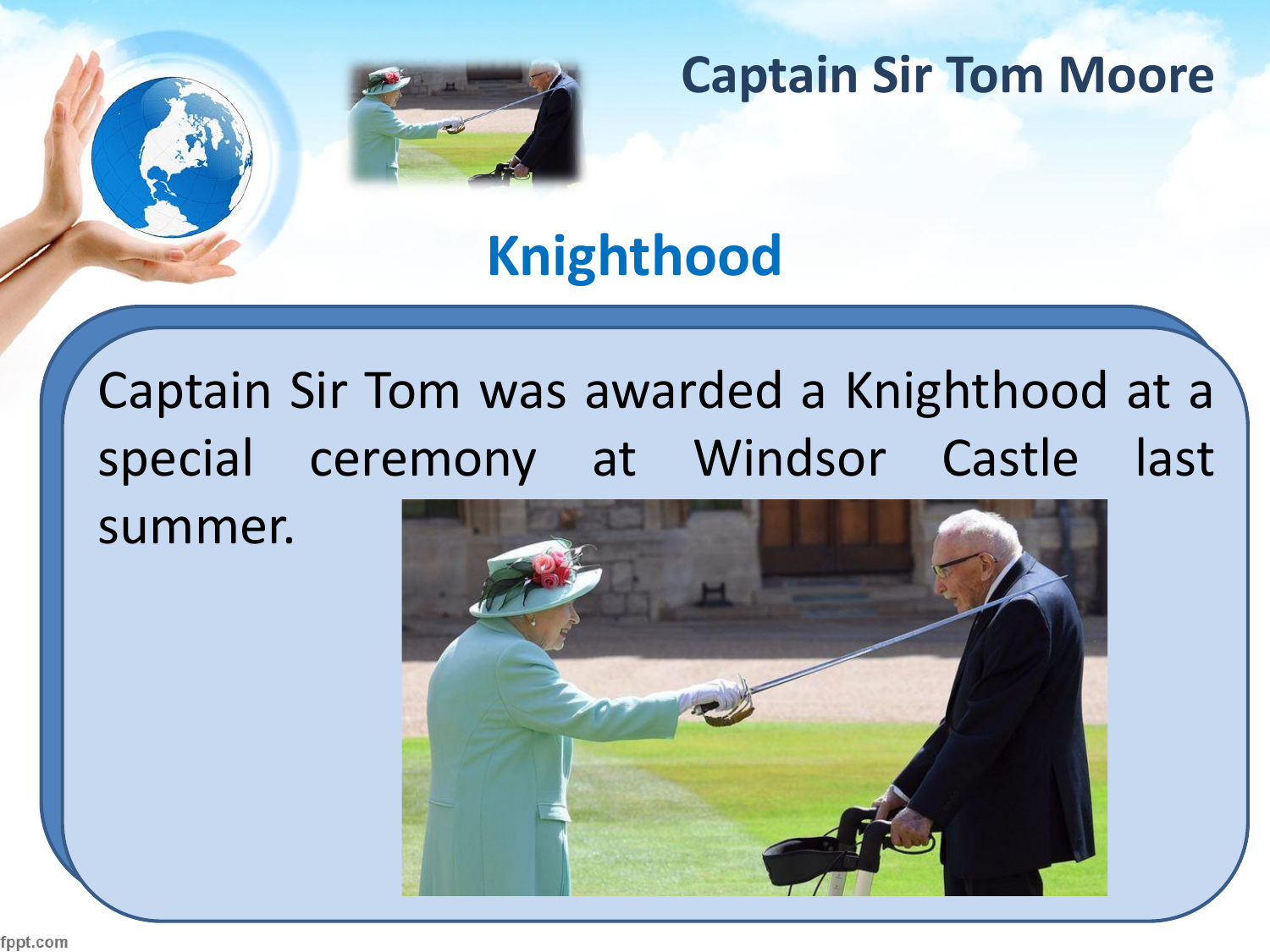

# **Knighthood**

Captain Sir Tom was awarded a Knighthood at a special ceremony at Windsor Castle last summer.



fppt.com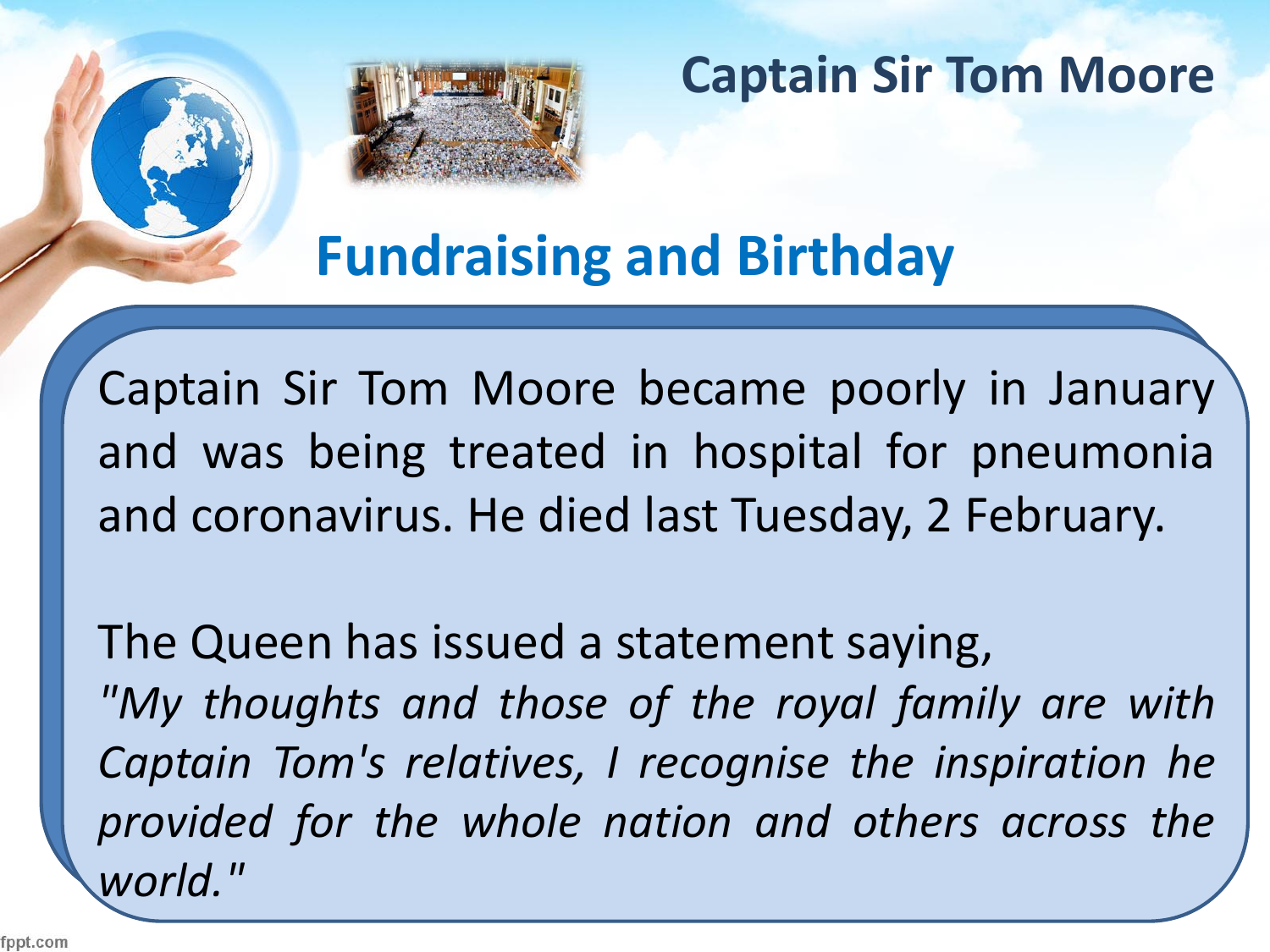

**Fundraising and Birthday**

Captain Sir Tom Moore became poorly in January and was being treated in hospital for pneumonia and coronavirus. He died last Tuesday, 2 February.

The Queen has issued a statement saying, *"My thoughts and those of the royal family are with Captain Tom's relatives, I recognise the inspiration he provided for the whole nation and others across the world."*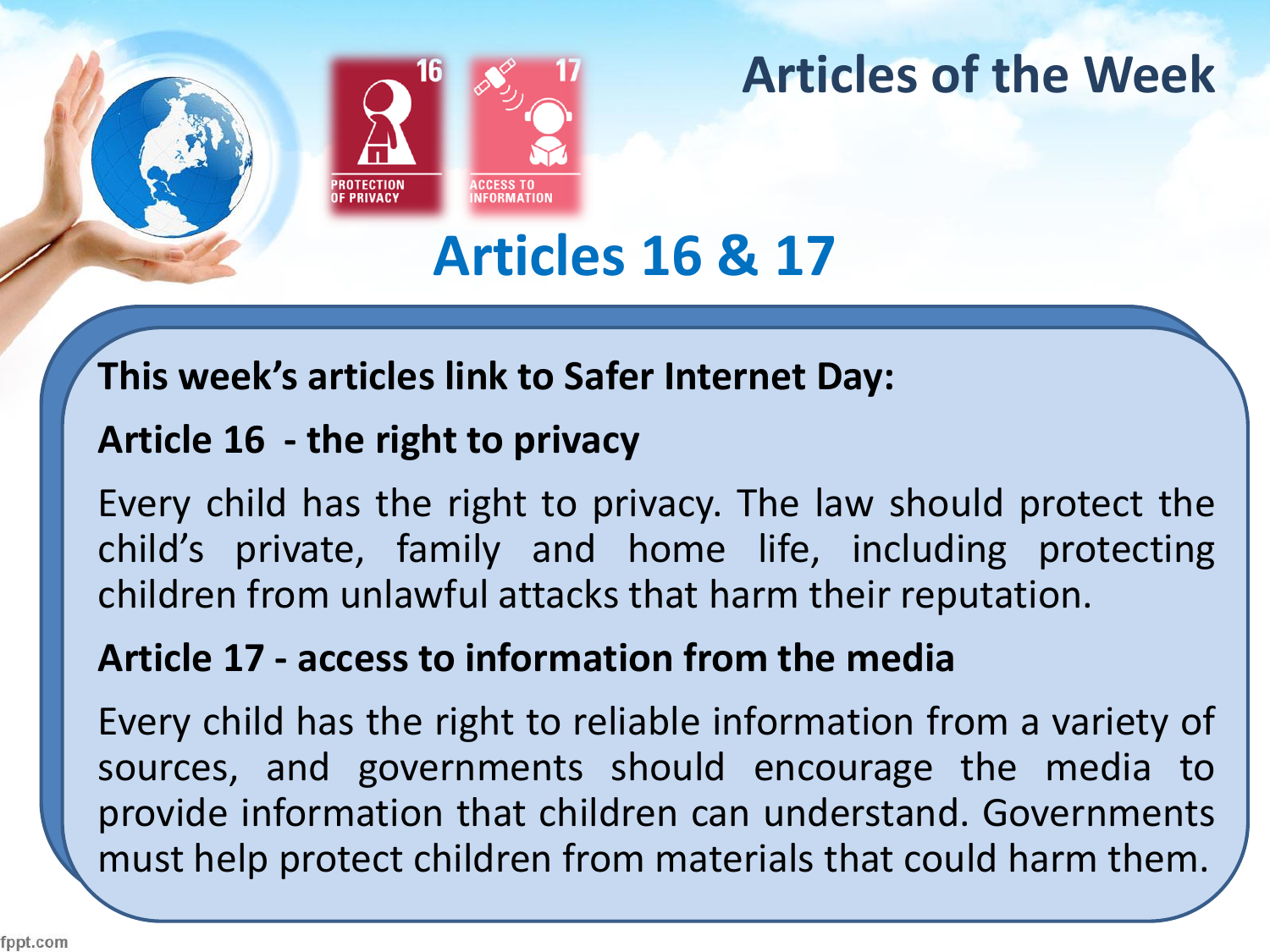

## **Articles of the Week**

# **Articles 16 & 17**

#### **This week's articles link to Safer Internet Day:**

#### **Article 16 - the right to privacy**

Every child has the right to privacy. The law should protect the child's private, family and home life, including protecting children from unlawful attacks that harm their reputation.

#### **Article 17 - access to information from the media**

Every child has the right to reliable information from a variety of sources, and governments should encourage the media to provide information that children can understand. Governments must help protect children from materials that could harm them.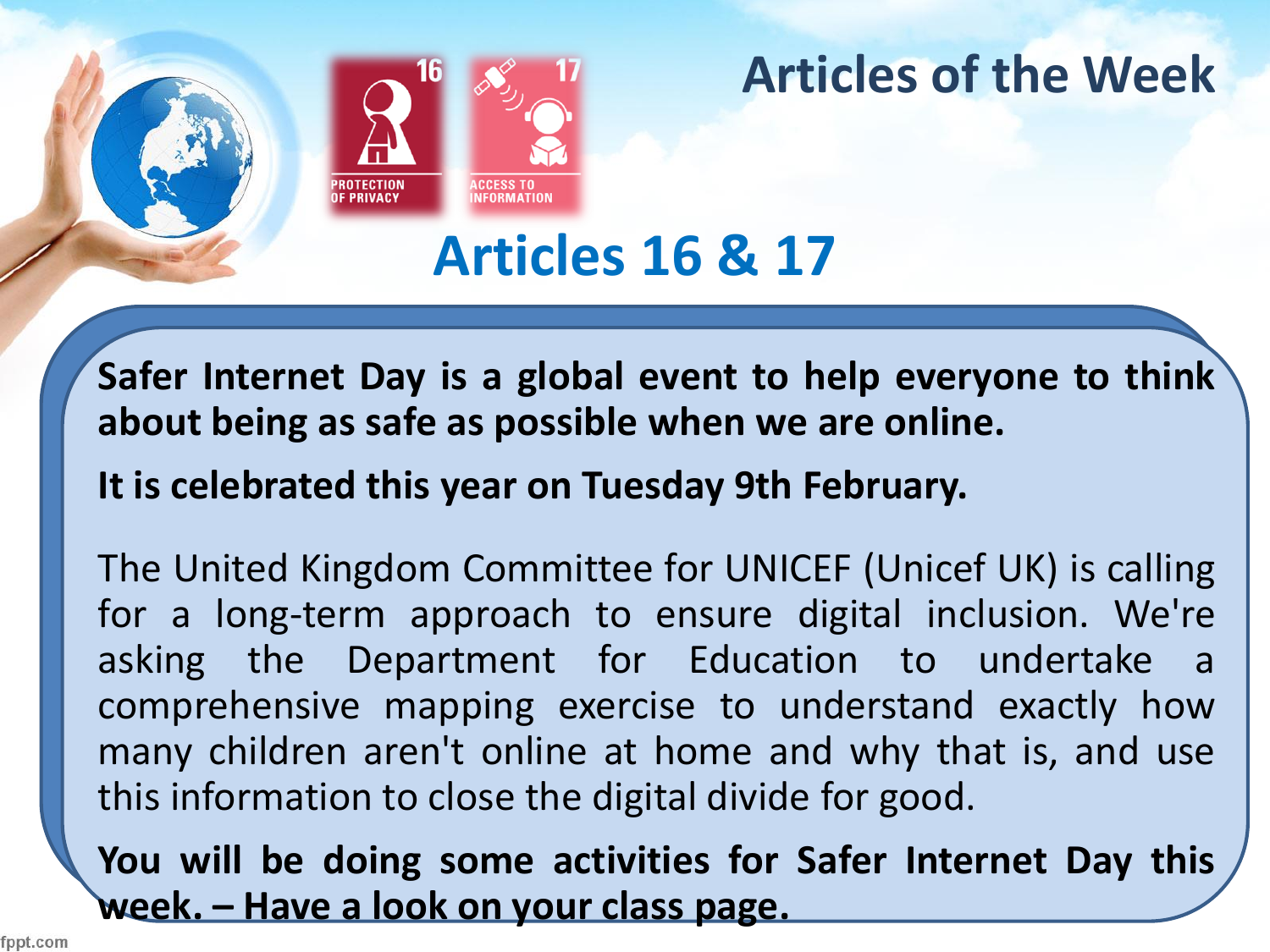

## **Articles of the Week**

**Articles 16 & 17**

**Safer Internet Day is a global event to help everyone to think about being as safe as possible when we are online.**

**It is celebrated this year on Tuesday 9th February.**

The United Kingdom Committee for UNICEF (Unicef UK) is calling for a long-term approach to ensure digital inclusion. We're asking the Department for Education to undertake a comprehensive mapping exercise to understand exactly how many children aren't online at home and why that is, and use this information to close the digital divide for good.

**You will be doing some activities for Safer Internet Day this week. – Have a look on your class page.**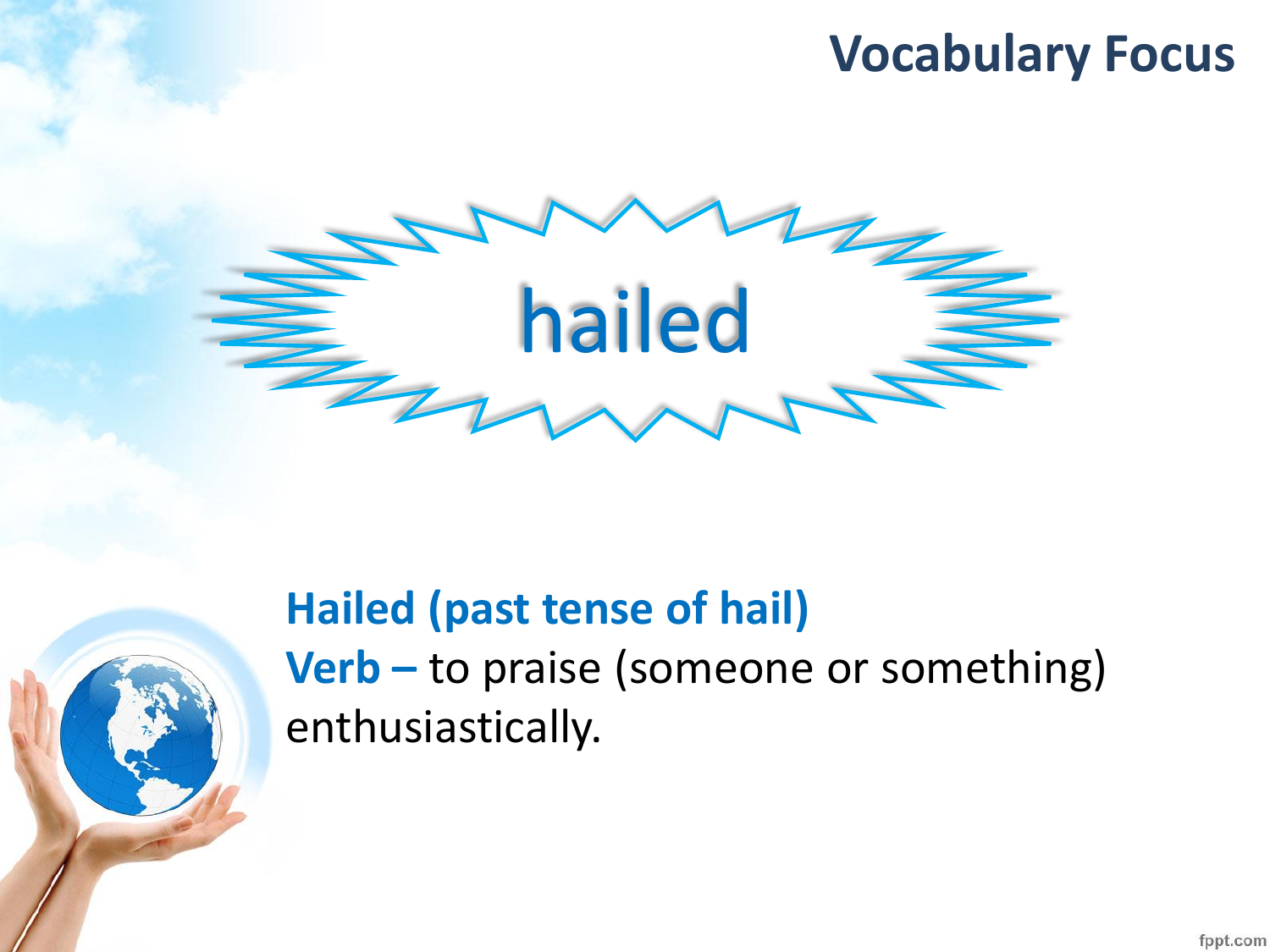## **Vocabulary Focus**



## **Hailed (past tense of hail) Verb –** to praise (someone or something) enthusiastically.